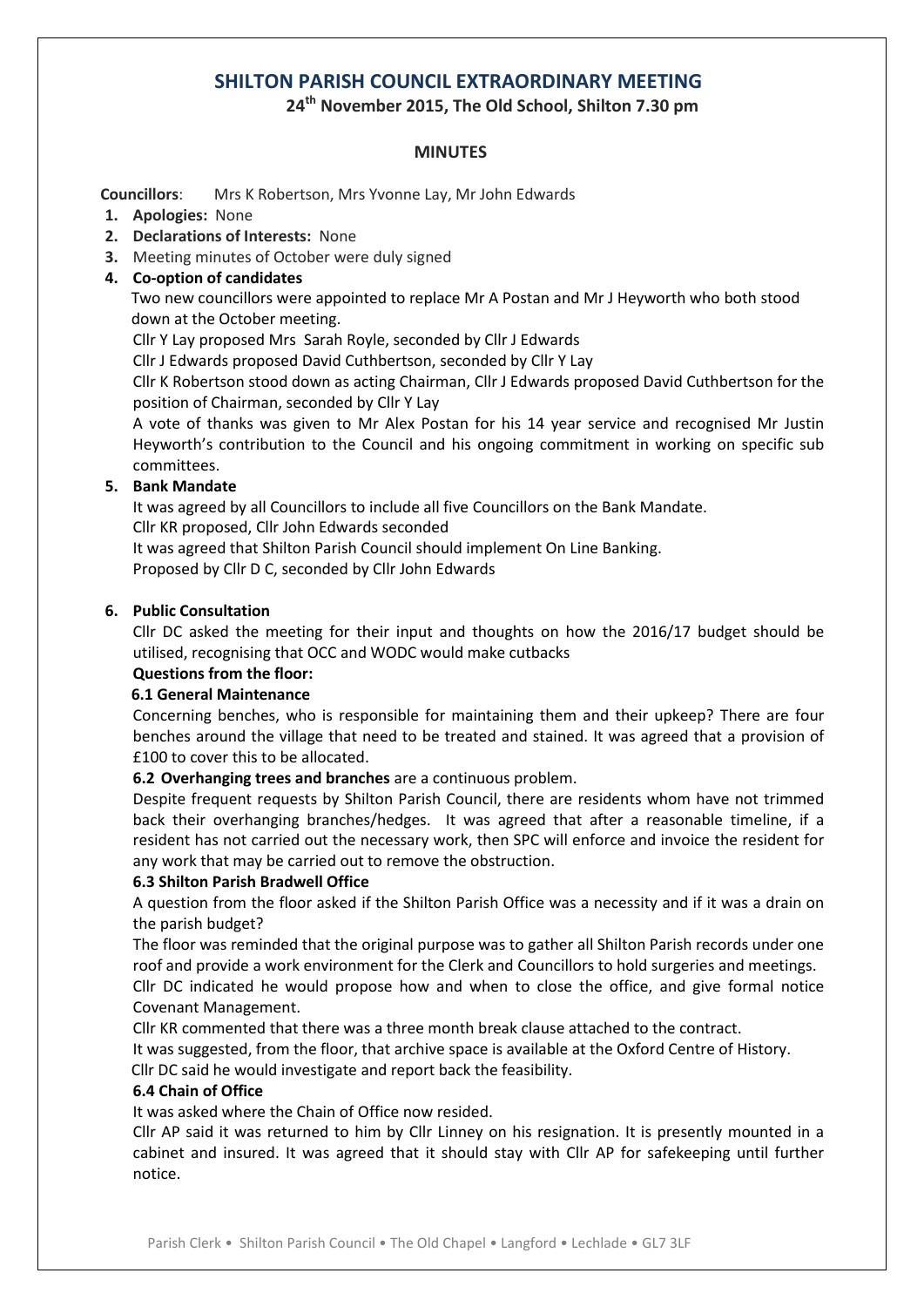# **SHILTON PARISH COUNCIL EXTRAORDINARY MEETING**

**24 th November 2015, The Old School, Shilton 7.30 pm**

# **MINUTES**

 **Councillors**: Mrs K Robertson, Mrs Yvonne Lay, Mr John Edwards

- **1. Apologies:** None
- **2. Declarations of Interests:** None
- **3.** Meeting minutes of October were duly signed
- **4. Co-option of candidates**

 Two new councillors were appointed to replace Mr A Postan and Mr J Heyworth who both stood down at the October meeting.

Cllr Y Lay proposed Mrs Sarah Royle, seconded by Cllr J Edwards

Cllr J Edwards proposed David Cuthbertson, seconded by Cllr Y Lay

Cllr K Robertson stood down as acting Chairman, Cllr J Edwards proposed David Cuthbertson for the position of Chairman, seconded by Cllr Y Lay

A vote of thanks was given to Mr Alex Postan for his 14 year service and recognised Mr Justin Heyworth's contribution to the Council and his ongoing commitment in working on specific sub committees.

# **5. Bank Mandate**

It was agreed by all Councillors to include all five Councillors on the Bank Mandate.

Cllr KR proposed, Cllr John Edwards seconded

It was agreed that Shilton Parish Council should implement On Line Banking.

Proposed by Cllr D C, seconded by Cllr John Edwards

# **6. Public Consultation**

Cllr DC asked the meeting for their input and thoughts on how the 2016/17 budget should be utilised, recognising that OCC and WODC would make cutbacks

# **Questions from the floor:**

# **6.1 General Maintenance**

Concerning benches, who is responsible for maintaining them and their upkeep? There are four benches around the village that need to be treated and stained. It was agreed that a provision of £100 to cover this to be allocated.

**6.2 Overhanging trees and branches** are a continuous problem.

Despite frequent requests by Shilton Parish Council, there are residents whom have not trimmed back their overhanging branches/hedges. It was agreed that after a reasonable timeline, if a resident has not carried out the necessary work, then SPC will enforce and invoice the resident for any work that may be carried out to remove the obstruction.

## **6.3 Shilton Parish Bradwell Office**

A question from the floor asked if the Shilton Parish Office was a necessity and if it was a drain on the parish budget?

The floor was reminded that the original purpose was to gather all Shilton Parish records under one roof and provide a work environment for the Clerk and Councillors to hold surgeries and meetings.

Cllr DC indicated he would propose how and when to close the office, and give formal notice Covenant Management.

Cllr KR commented that there was a three month break clause attached to the contract.

It was suggested, from the floor, that archive space is available at the Oxford Centre of History.

Cllr DC said he would investigate and report back the feasibility.

# **6.4 Chain of Office**

It was asked where the Chain of Office now resided.

Cllr AP said it was returned to him by Cllr Linney on his resignation. It is presently mounted in a cabinet and insured. It was agreed that it should stay with Cllr AP for safekeeping until further notice.